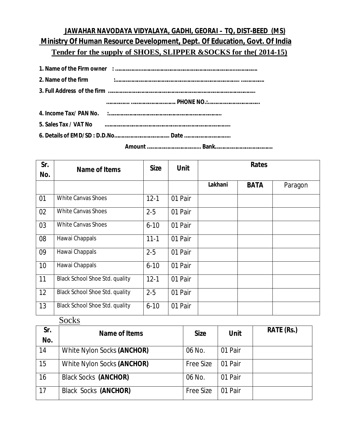## **JAWAHAR NAVODAYA VIDYALAYA, GADHI, GEORAI – TQ, DIST-BEED (MS) Ministry Of Human Resource Development, Dept. Of Education, Govt. Of India Tender for the supply of SHOES, SLIPPER &SOCKS for the( 2014-15)**

| 2. Name of the firm   |  |
|-----------------------|--|
|                       |  |
|                       |  |
|                       |  |
| 5. Sales Tax / VAT No |  |
|                       |  |

 **Amount …………………………….... Bank………………………………….**

| Sr.<br>No. | <b>Name of Items</b>                  | <b>Size</b> | <b>Unit</b> | <b>Rates</b> |             |         |
|------------|---------------------------------------|-------------|-------------|--------------|-------------|---------|
|            |                                       |             |             | Lakhani      | <b>BATA</b> | Paragon |
| 01         | <b>White Canvas Shoes</b>             | $12 - 1$    | 01 Pair     |              |             |         |
| 02         | <b>White Canvas Shoes</b>             | $2 - 5$     | 01 Pair     |              |             |         |
| 03         | <b>White Canvas Shoes</b>             | $6 - 10$    | 01 Pair     |              |             |         |
| 08         | Hawai Chappals                        | $11 - 1$    | 01 Pair     |              |             |         |
| 09         | Hawai Chappals                        | $2 - 5$     | 01 Pair     |              |             |         |
| 10         | Hawai Chappals                        | $6 - 10$    | 01 Pair     |              |             |         |
| 11         | <b>Black School Shoe Std. quality</b> | $12 - 1$    | 01 Pair     |              |             |         |
| 12         | <b>Black School Shoe Std. quality</b> | $2 - 5$     | 01 Pair     |              |             |         |
| 13         | <b>Black School Shoe Std. quality</b> | $6 - 10$    | 01 Pair     |              |             |         |

**Socks** 

| Sr.<br>No. | Name of Items               | <b>Size</b>      | <b>Unit</b> | <b>RATE (Rs.)</b> |
|------------|-----------------------------|------------------|-------------|-------------------|
| 14         | White Nylon Socks (ANCHOR)  | 06 No.           | 01 Pair     |                   |
| 15         | White Nylon Socks (ANCHOR)  | <b>Free Size</b> | 01 Pair     |                   |
| 16         | <b>Black Socks (ANCHOR)</b> | 06 No.           | 01 Pair     |                   |
| 17         | <b>Black Socks (ANCHOR)</b> | <b>Free Size</b> | 01 Pair     |                   |